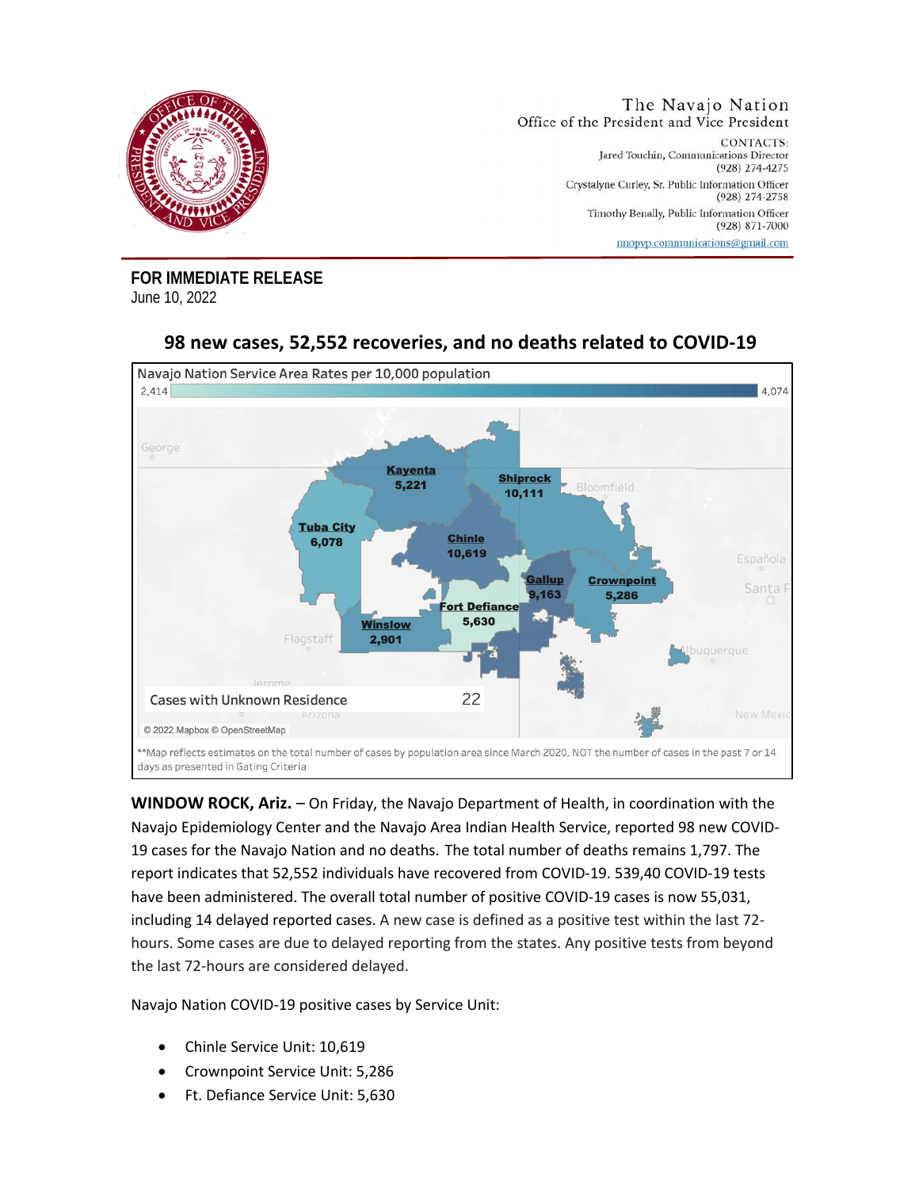

**FOR IMMEDIATE RELEASE**  June 10, 2022



## **98 new cases, 52,552 recoveries, and no deaths related to COVID-19**

**WINDOW ROCK, Ariz.** – On Friday, the Navajo Department of Health, in coordination with the Navajo Epidemiology Center and the Navajo Area Indian Health Service, reported 98 new COVID-19 cases for the Navajo Nation and no deaths. The total number of deaths remains 1,797. The report indicates that 52,552 individuals have recovered from COVID-19. 539,40 COVID-19 tests have been administered. The overall total number of positive COVID-19 cases is now 55,031, including 14 delayed reported cases. A new case is defined as a positive test within the last 72 hours. Some cases are due to delayed reporting from the states. Any positive tests from beyond the last 72-hours are considered delayed.

Navajo Nation COVID-19 positive cases by Service Unit:

- Chinle Service Unit: 10,619
- Crownpoint Service Unit: 5,286
- Ft. Defiance Service Unit: 5,630